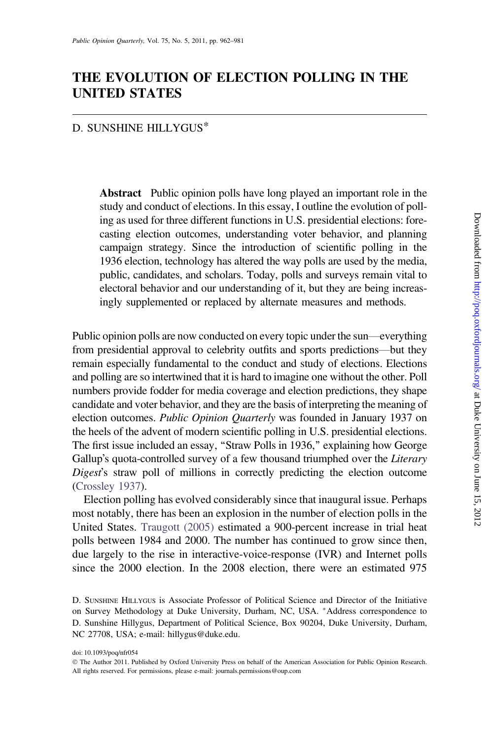# THE EVOLUTION OF ELECTION POLLING IN THE UNITED STATES

### D. SUNSHINE HILLYGUS\*

Abstract Public opinion polls have long played an important role in the study and conduct of elections. In this essay, I outline the evolution of polling as used for three different functions in U.S. presidential elections: forecasting election outcomes, understanding voter behavior, and planning campaign strategy. Since the introduction of scientific polling in the 1936 election, technology has altered the way polls are used by the media, public, candidates, and scholars. Today, polls and surveys remain vital to electoral behavior and our understanding of it, but they are being increasingly supplemented or replaced by alternate measures and methods.

Public opinion polls are now conducted on every topic under the sun—everything from presidential approval to celebrity outfits and sports predictions—but they remain especially fundamental to the conduct and study of elections. Elections and polling are so intertwined that it is hard to imagine one without the other. Poll numbers provide fodder for media coverage and election predictions, they shape candidate and voter behavior, and they are the basis of interpreting the meaning of election outcomes. Public Opinion Quarterly was founded in January 1937 on the heels of the advent of modern scientific polling in U.S. presidential elections. The first issue included an essay, "Straw Polls in 1936," explaining how George Gallup's quota-controlled survey of a few thousand triumphed over the Literary Digest's straw poll of millions in correctly predicting the election outcome ([Crossley 1937](#page-16-0)).

Election polling has evolved considerably since that inaugural issue. Perhaps most notably, there has been an explosion in the number of election polls in the United States. [Traugott \(2005\)](#page-19-0) estimated a 900-percent increase in trial heat polls between 1984 and 2000. The number has continued to grow since then, due largely to the rise in interactive-voice-response (IVR) and Internet polls since the 2000 election. In the 2008 election, there were an estimated 975

D. SUNSHINE HILLYGUS is Associate Professor of Political Science and Director of the Initiative on Survey Methodology at Duke University, Durham, NC, USA. \*Address correspondence to D. Sunshine Hillygus, Department of Political Science, Box 90204, Duke University, Durham, NC 27708, USA; e-mail: hillygus@duke.edu.

doi: 10.1093/poq/nfr054

The Author 2011. Published by Oxford University Press on behalf of the American Association for Public Opinion Research. All rights reserved. For permissions, please e-mail: journals.permissions@oup.com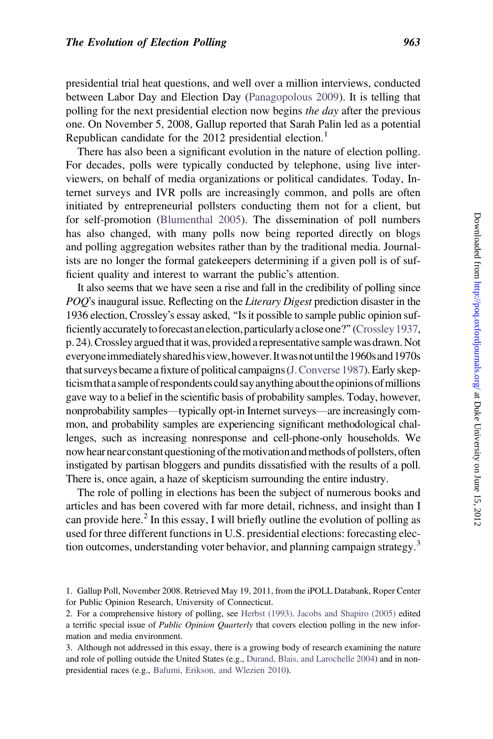presidential trial heat questions, and well over a million interviews, conducted between Labor Day and Election Day ([Panagopolous 2009](#page-18-0)). It is telling that polling for the next presidential election now begins the day after the previous one. On November 5, 2008, Gallup reported that Sarah Palin led as a potential Republican candidate for the 2012 presidential election.<sup>1</sup>

There has also been a significant evolution in the nature of election polling. For decades, polls were typically conducted by telephone, using live interviewers, on behalf of media organizations or political candidates. Today, Internet surveys and IVR polls are increasingly common, and polls are often initiated by entrepreneurial pollsters conducting them not for a client, but for self-promotion [\(Blumenthal 2005](#page-16-0)). The dissemination of poll numbers has also changed, with many polls now being reported directly on blogs and polling aggregation websites rather than by the traditional media. Journalists are no longer the formal gatekeepers determining if a given poll is of sufficient quality and interest to warrant the public's attention.

It also seems that we have seen a rise and fall in the credibility of polling since POO's inaugural issue. Reflecting on the Literary Digest prediction disaster in the 1936 election, Crossley's essay asked, "Is it possible to sample public opinion sufficiently accurately to forecast an election, particularly a close one?" (Crossley 1937, p. 24). Crossley argued that it was, provided a representative sample was drawn. Not everyone immediately shared his view, however. It was not until the 1960s and 1970s that surveys became a fixture of political campaigns[\(J.Converse 1987\)](#page-16-0). Early skepticism that a sample of respondents could say anything about the opinions of millions gave way to a belief in the scientific basis of probability samples. Today, however, nonprobability samples—typically opt-in Internet surveys—are increasingly common, and probability samples are experiencing significant methodological challenges, such as increasing nonresponse and cell-phone-only households. We now hear near constant questioning of the motivation and methods of pollsters, often instigated by partisan bloggers and pundits dissatisfied with the results of a poll. There is, once again, a haze of skepticism surrounding the entire industry.

The role of polling in elections has been the subject of numerous books and articles and has been covered with far more detail, richness, and insight than I can provide here.<sup>2</sup> In this essay, I will briefly outline the evolution of polling as used for three different functions in U.S. presidential elections: forecasting election outcomes, understanding voter behavior, and planning campaign strategy.<sup>3</sup>

<sup>1.</sup> Gallup Poll, November 2008. Retrieved May 19, 2011, from the iPOLL Databank, Roper Center for Public Opinion Research, University of Connecticut.

<sup>2.</sup> For a comprehensive history of polling, see [Herbst \(1993\)](#page-17-0). [Jacobs and Shapiro \(2005\)](#page-18-0) edited a terrific special issue of Public Opinion Quarterly that covers election polling in the new information and media environment.

<sup>3.</sup> Although not addressed in this essay, there is a growing body of research examining the nature and role of polling outside the United States (e.g., [Durand, Blais, and Larochelle 2004](#page-17-0)) and in nonpresidential races (e.g., [Bafumi, Erikson, and Wlezien 2010\)](#page-16-0).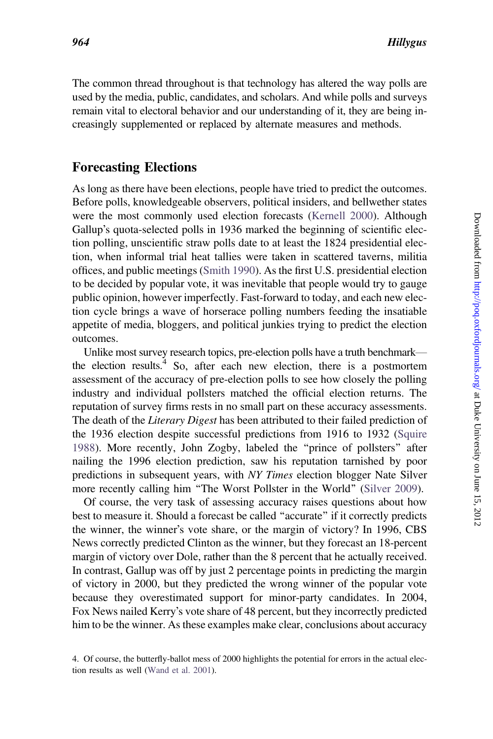The common thread throughout is that technology has altered the way polls are used by the media, public, candidates, and scholars. And while polls and surveys remain vital to electoral behavior and our understanding of it, they are being increasingly supplemented or replaced by alternate measures and methods.

## Forecasting Elections

As long as there have been elections, people have tried to predict the outcomes. Before polls, knowledgeable observers, political insiders, and bellwether states were the most commonly used election forecasts [\(Kernell 2000\)](#page-18-0). Although Gallup's quota-selected polls in 1936 marked the beginning of scientific election polling, unscientific straw polls date to at least the 1824 presidential election, when informal trial heat tallies were taken in scattered taverns, militia offices, and public meetings ([Smith 1990\)](#page-19-0). As the first U.S. presidential election to be decided by popular vote, it was inevitable that people would try to gauge public opinion, however imperfectly. Fast-forward to today, and each new election cycle brings a wave of horserace polling numbers feeding the insatiable appetite of media, bloggers, and political junkies trying to predict the election outcomes.

Unlike most survey research topics, pre-election polls have a truth benchmark the election results.<sup>4</sup> So, after each new election, there is a postmortem assessment of the accuracy of pre-election polls to see how closely the polling industry and individual pollsters matched the official election returns. The reputation of survey firms rests in no small part on these accuracy assessments. The death of the *Literary Digest* has been attributed to their failed prediction of the 1936 election despite successful predictions from 1916 to 1932 [\(Squire](#page-19-0) [1988](#page-19-0)). More recently, John Zogby, labeled the ''prince of pollsters'' after nailing the 1996 election prediction, saw his reputation tarnished by poor predictions in subsequent years, with NY Times election blogger Nate Silver more recently calling him "The Worst Pollster in the World" ([Silver 2009\)](#page-19-0).

Of course, the very task of assessing accuracy raises questions about how best to measure it. Should a forecast be called ''accurate'' if it correctly predicts the winner, the winner's vote share, or the margin of victory? In 1996, CBS News correctly predicted Clinton as the winner, but they forecast an 18-percent margin of victory over Dole, rather than the 8 percent that he actually received. In contrast, Gallup was off by just 2 percentage points in predicting the margin of victory in 2000, but they predicted the wrong winner of the popular vote because they overestimated support for minor-party candidates. In 2004, Fox News nailed Kerry's vote share of 48 percent, but they incorrectly predicted him to be the winner. As these examples make clear, conclusions about accuracy

<sup>4.</sup> Of course, the butterfly-ballot mess of 2000 highlights the potential for errors in the actual election results as well [\(Wand et al. 2001](#page-19-0)).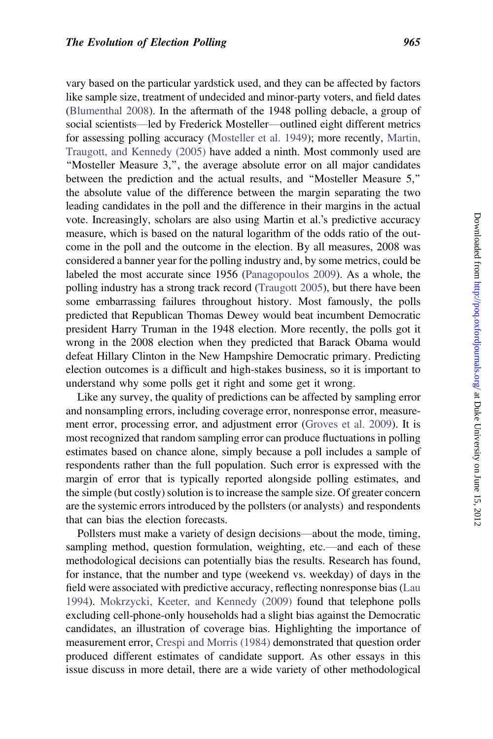vary based on the particular yardstick used, and they can be affected by factors like sample size, treatment of undecided and minor-party voters, and field dates ([Blumenthal 2008\)](#page-16-0). In the aftermath of the 1948 polling debacle, a group of social scientists—led by Frederick Mosteller—outlined eight different metrics for assessing polling accuracy [\(Mosteller et al. 1949](#page-18-0)); more recently, [Martin,](#page-18-0) [Traugott, and Kennedy \(2005\)](#page-18-0) have added a ninth. Most commonly used are ''Mosteller Measure 3,'', the average absolute error on all major candidates between the prediction and the actual results, and ''Mosteller Measure 5,'' the absolute value of the difference between the margin separating the two leading candidates in the poll and the difference in their margins in the actual vote. Increasingly, scholars are also using Martin et al.'s predictive accuracy measure, which is based on the natural logarithm of the odds ratio of the outcome in the poll and the outcome in the election. By all measures, 2008 was considered a banner year for the polling industry and, by some metrics, could be labeled the most accurate since 1956 [\(Panagopoulos 2009](#page-18-0)). As a whole, the polling industry has a strong track record [\(Traugott 2005\)](#page-19-0), but there have been some embarrassing failures throughout history. Most famously, the polls predicted that Republican Thomas Dewey would beat incumbent Democratic president Harry Truman in the 1948 election. More recently, the polls got it wrong in the 2008 election when they predicted that Barack Obama would defeat Hillary Clinton in the New Hampshire Democratic primary. Predicting election outcomes is a difficult and high-stakes business, so it is important to understand why some polls get it right and some get it wrong.

Like any survey, the quality of predictions can be affected by sampling error and nonsampling errors, including coverage error, nonresponse error, measurement error, processing error, and adjustment error ([Groves et al. 2009](#page-17-0)). It is most recognized that random sampling error can produce fluctuations in polling estimates based on chance alone, simply because a poll includes a sample of respondents rather than the full population. Such error is expressed with the margin of error that is typically reported alongside polling estimates, and the simple (but costly) solution is to increase the sample size. Of greater concern are the systemic errors introduced by the pollsters (or analysts) and respondents that can bias the election forecasts.

Pollsters must make a variety of design decisions—about the mode, timing, sampling method, question formulation, weighting, etc.—and each of these methodological decisions can potentially bias the results. Research has found, for instance, that the number and type (weekend vs. weekday) of days in the field were associated with predictive accuracy, reflecting nonresponse bias [\(Lau](#page-18-0) [1994\)](#page-18-0). [Mokrzycki, Keeter, and Kennedy \(2009\)](#page-18-0) found that telephone polls excluding cell-phone-only households had a slight bias against the Democratic candidates, an illustration of coverage bias. Highlighting the importance of measurement error, [Crespi and Morris \(1984\)](#page-16-0) demonstrated that question order produced different estimates of candidate support. As other essays in this issue discuss in more detail, there are a wide variety of other methodological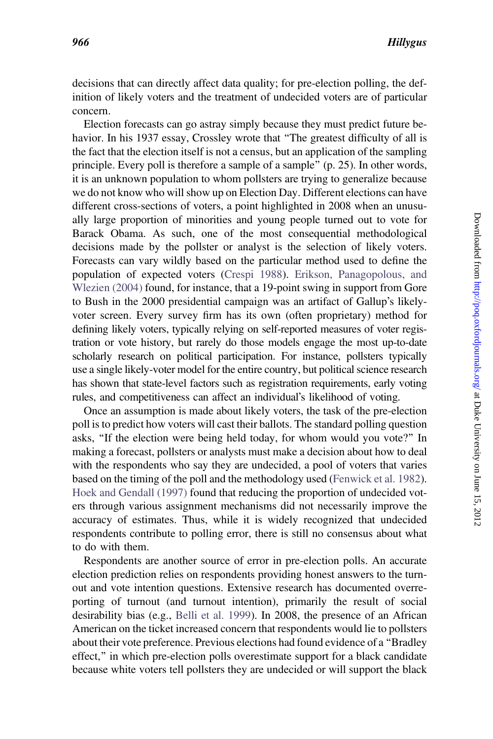Election forecasts can go astray simply because they must predict future behavior. In his 1937 essay, Crossley wrote that "The greatest difficulty of all is the fact that the election itself is not a census, but an application of the sampling principle. Every poll is therefore a sample of a sample'' (p. 25). In other words, it is an unknown population to whom pollsters are trying to generalize because we do not know who will show up on Election Day. Different elections can have different cross-sections of voters, a point highlighted in 2008 when an unusually large proportion of minorities and young people turned out to vote for Barack Obama. As such, one of the most consequential methodological decisions made by the pollster or analyst is the selection of likely voters. Forecasts can vary wildly based on the particular method used to define the population of expected voters ([Crespi 1988\)](#page-16-0). [Erikson, Panagopolous, and](#page-17-0) [Wlezien \(2004\)](#page-17-0) found, for instance, that a 19-point swing in support from Gore to Bush in the 2000 presidential campaign was an artifact of Gallup's likelyvoter screen. Every survey firm has its own (often proprietary) method for defining likely voters, typically relying on self-reported measures of voter registration or vote history, but rarely do those models engage the most up-to-date scholarly research on political participation. For instance, pollsters typically use a single likely-voter model for the entire country, but political science research has shown that state-level factors such as registration requirements, early voting rules, and competitiveness can affect an individual's likelihood of voting.

Once an assumption is made about likely voters, the task of the pre-election poll is to predict how voters will cast their ballots. The standard polling question asks, ''If the election were being held today, for whom would you vote?'' In making a forecast, pollsters or analysts must make a decision about how to deal with the respondents who say they are undecided, a pool of voters that varies based on the timing of the poll and the methodology used ([Fenwick et al. 1982\)](#page-17-0). [Hoek and Gendall \(1997\)](#page-17-0) found that reducing the proportion of undecided voters through various assignment mechanisms did not necessarily improve the accuracy of estimates. Thus, while it is widely recognized that undecided respondents contribute to polling error, there is still no consensus about what to do with them.

Respondents are another source of error in pre-election polls. An accurate election prediction relies on respondents providing honest answers to the turnout and vote intention questions. Extensive research has documented overreporting of turnout (and turnout intention), primarily the result of social desirability bias (e.g., [Belli et al. 1999\)](#page-16-0). In 2008, the presence of an African American on the ticket increased concern that respondents would lie to pollsters about their vote preference. Previous elections had found evidence of a ''Bradley effect,'' in which pre-election polls overestimate support for a black candidate because white voters tell pollsters they are undecided or will support the black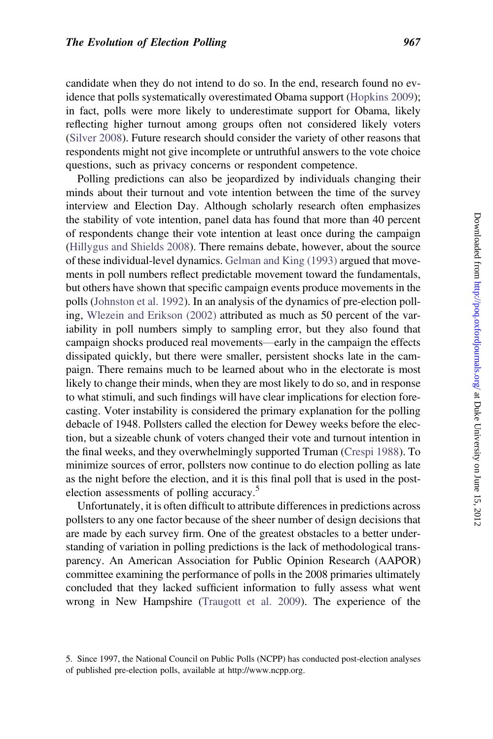candidate when they do not intend to do so. In the end, research found no evidence that polls systematically overestimated Obama support ([Hopkins 2009\)](#page-17-0); in fact, polls were more likely to underestimate support for Obama, likely reflecting higher turnout among groups often not considered likely voters ([Silver 2008\)](#page-19-0). Future research should consider the variety of other reasons that respondents might not give incomplete or untruthful answers to the vote choice questions, such as privacy concerns or respondent competence.

Polling predictions can also be jeopardized by individuals changing their minds about their turnout and vote intention between the time of the survey interview and Election Day. Although scholarly research often emphasizes the stability of vote intention, panel data has found that more than 40 percent of respondents change their vote intention at least once during the campaign ([Hillygus and Shields 2008](#page-17-0)). There remains debate, however, about the source of these individual-level dynamics. [Gelman and King \(1993\)](#page-17-0) argued that movements in poll numbers reflect predictable movement toward the fundamentals, but others have shown that specific campaign events produce movements in the polls [\(Johnston et al. 1992](#page-18-0)). In an analysis of the dynamics of pre-election polling, [Wlezein and Erikson \(2002\)](#page-19-0) attributed as much as 50 percent of the variability in poll numbers simply to sampling error, but they also found that campaign shocks produced real movements—early in the campaign the effects dissipated quickly, but there were smaller, persistent shocks late in the campaign. There remains much to be learned about who in the electorate is most likely to change their minds, when they are most likely to do so, and in response to what stimuli, and such findings will have clear implications for election forecasting. Voter instability is considered the primary explanation for the polling debacle of 1948. Pollsters called the election for Dewey weeks before the election, but a sizeable chunk of voters changed their vote and turnout intention in the final weeks, and they overwhelmingly supported Truman ([Crespi 1988\)](#page-16-0). To minimize sources of error, pollsters now continue to do election polling as late as the night before the election, and it is this final poll that is used in the postelection assessments of polling accuracy.<sup>5</sup>

Unfortunately, it is often difficult to attribute differences in predictions across pollsters to any one factor because of the sheer number of design decisions that are made by each survey firm. One of the greatest obstacles to a better understanding of variation in polling predictions is the lack of methodological transparency. An American Association for Public Opinion Research (AAPOR) committee examining the performance of polls in the 2008 primaries ultimately concluded that they lacked sufficient information to fully assess what went wrong in New Hampshire [\(Traugott et al. 2009\)](#page-19-0). The experience of the

<sup>5.</sup> Since 1997, the National Council on Public Polls (NCPP) has conducted post-election analyses of published pre-election polls, available at http://www.ncpp.org.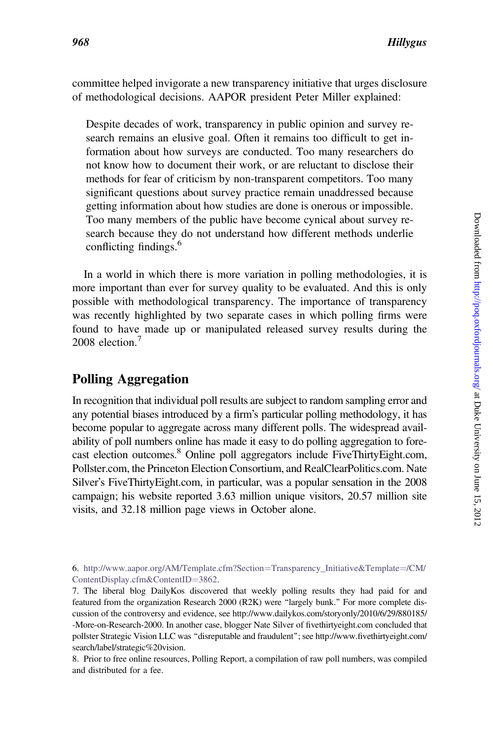committee helped invigorate a new transparency initiative that urges disclosure of methodological decisions. AAPOR president Peter Miller explained:

Despite decades of work, transparency in public opinion and survey research remains an elusive goal. Often it remains too difficult to get information about how surveys are conducted. Too many researchers do not know how to document their work, or are reluctant to disclose their methods for fear of criticism by non-transparent competitors. Too many significant questions about survey practice remain unaddressed because getting information about how studies are done is onerous or impossible. Too many members of the public have become cynical about survey research because they do not understand how different methods underlie conflicting findings.<sup>6</sup>

In a world in which there is more variation in polling methodologies, it is more important than ever for survey quality to be evaluated. And this is only possible with methodological transparency. The importance of transparency was recently highlighted by two separate cases in which polling firms were found to have made up or manipulated released survey results during the 2008 election.<sup>7</sup>

# Polling Aggregation

In recognition that individual poll results are subject to random sampling error and any potential biases introduced by a firm's particular polling methodology, it has become popular to aggregate across many different polls. The widespread availability of poll numbers online has made it easy to do polling aggregation to forecast election outcomes.<sup>8</sup> Online poll aggregators include FiveThirtyEight.com, Pollster.com, the Princeton Election Consortium, and RealClearPolitics.com. Nate Silver's FiveThirtyEight.com, in particular, was a popular sensation in the 2008 campaign; his website reported 3.63 million unique visitors, 20.57 million site visits, and 32.18 million page views in October alone.

6. [http://www.aapor.org/AM/Template.cfm?Section](http://www.aapor.org/AM/Template.cfm?Section=Transparency_Initiative&Template=/CM/ContentDisplay.cfm&ContentID=3862)=[Transparency\\_Initiative&Template](http://www.aapor.org/AM/Template.cfm?Section=Transparency_Initiative&Template=/CM/ContentDisplay.cfm&ContentID=3862)=[/CM/](http://www.aapor.org/AM/Template.cfm?Section=Transparency_Initiative&Template=/CM/ContentDisplay.cfm&ContentID=3862) [ContentDisplay.cfm&ContentID](http://www.aapor.org/AM/Template.cfm?Section=Transparency_Initiative&Template=/CM/ContentDisplay.cfm&ContentID=3862)=[3862](http://www.aapor.org/AM/Template.cfm?Section=Transparency_Initiative&Template=/CM/ContentDisplay.cfm&ContentID=3862).

7. The liberal blog DailyKos discovered that weekly polling results they had paid for and featured from the organization Research 2000 (R2K) were ''largely bunk.'' For more complete discussion of the controversy and evidence, see http://www.dailykos.com/storyonly/2010/6/29/880185/ -More-on-Research-2000. In another case, blogger Nate Silver of fivethirtyeight.com concluded that pollster Strategic Vision LLC was ''disreputable and fraudulent''; see http://www.fivethirtyeight.com/ search/label/strategic%20vision.

8. Prior to free online resources, Polling Report, a compilation of raw poll numbers, was compiled and distributed for a fee.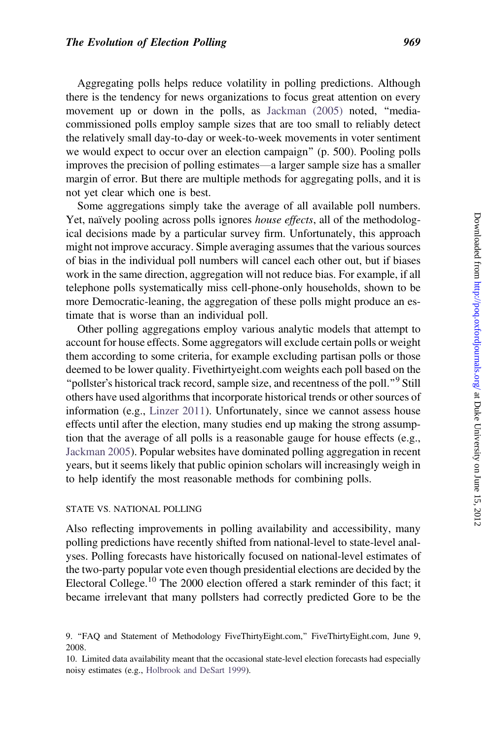Aggregating polls helps reduce volatility in polling predictions. Although there is the tendency for news organizations to focus great attention on every movement up or down in the polls, as [Jackman \(2005\)](#page-18-0) noted, "mediacommissioned polls employ sample sizes that are too small to reliably detect the relatively small day-to-day or week-to-week movements in voter sentiment we would expect to occur over an election campaign" (p. 500). Pooling polls improves the precision of polling estimates—a larger sample size has a smaller margin of error. But there are multiple methods for aggregating polls, and it is not yet clear which one is best.

Some aggregations simply take the average of all available poll numbers. Yet, naïvely pooling across polls ignores *house effects*, all of the methodological decisions made by a particular survey firm. Unfortunately, this approach might not improve accuracy. Simple averaging assumes that the various sources of bias in the individual poll numbers will cancel each other out, but if biases work in the same direction, aggregation will not reduce bias. For example, if all telephone polls systematically miss cell-phone-only households, shown to be more Democratic-leaning, the aggregation of these polls might produce an estimate that is worse than an individual poll.

Other polling aggregations employ various analytic models that attempt to account for house effects. Some aggregators will exclude certain polls or weight them according to some criteria, for example excluding partisan polls or those deemed to be lower quality. Fivethirtyeight.com weights each poll based on the "pollster's historical track record, sample size, and recentness of the poll."<sup>9</sup> Still others have used algorithms that incorporate historical trends or other sources of information (e.g., [Linzer 2011\)](#page-18-0). Unfortunately, since we cannot assess house effects until after the election, many studies end up making the strong assumption that the average of all polls is a reasonable gauge for house effects (e.g., [Jackman 2005](#page-18-0)). Popular websites have dominated polling aggregation in recent years, but it seems likely that public opinion scholars will increasingly weigh in to help identify the most reasonable methods for combining polls.

#### STATE VS. NATIONAL POLLING

Also reflecting improvements in polling availability and accessibility, many polling predictions have recently shifted from national-level to state-level analyses. Polling forecasts have historically focused on national-level estimates of the two-party popular vote even though presidential elections are decided by the Electoral College.<sup>10</sup> The 2000 election offered a stark reminder of this fact; it became irrelevant that many pollsters had correctly predicted Gore to be the

<sup>9. &#</sup>x27;'FAQ and Statement of Methodology FiveThirtyEight.com,'' FiveThirtyEight.com, June 9, 2008.

<sup>10.</sup> Limited data availability meant that the occasional state-level election forecasts had especially noisy estimates (e.g., [Holbrook and DeSart 1999](#page-17-0)).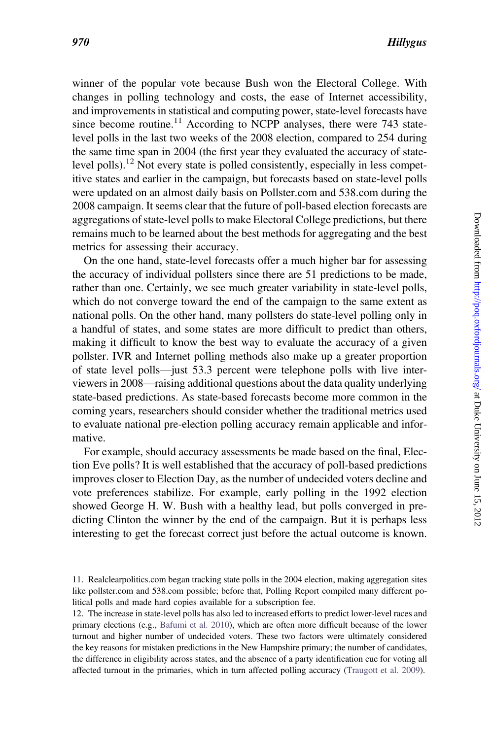winner of the popular vote because Bush won the Electoral College. With changes in polling technology and costs, the ease of Internet accessibility, and improvements in statistical and computing power, state-level forecasts have since become routine.<sup>11</sup> According to NCPP analyses, there were 743 statelevel polls in the last two weeks of the 2008 election, compared to 254 during the same time span in 2004 (the first year they evaluated the accuracy of statelevel polls).<sup>12</sup> Not every state is polled consistently, especially in less competitive states and earlier in the campaign, but forecasts based on state-level polls were updated on an almost daily basis on Pollster.com and 538.com during the 2008 campaign. It seems clear that the future of poll-based election forecasts are aggregations of state-level polls to make Electoral College predictions, but there remains much to be learned about the best methods for aggregating and the best metrics for assessing their accuracy.

On the one hand, state-level forecasts offer a much higher bar for assessing the accuracy of individual pollsters since there are 51 predictions to be made, rather than one. Certainly, we see much greater variability in state-level polls, which do not converge toward the end of the campaign to the same extent as national polls. On the other hand, many pollsters do state-level polling only in a handful of states, and some states are more difficult to predict than others, making it difficult to know the best way to evaluate the accuracy of a given pollster. IVR and Internet polling methods also make up a greater proportion of state level polls—just 53.3 percent were telephone polls with live interviewers in 2008—raising additional questions about the data quality underlying state-based predictions. As state-based forecasts become more common in the coming years, researchers should consider whether the traditional metrics used to evaluate national pre-election polling accuracy remain applicable and informative.

For example, should accuracy assessments be made based on the final, Election Eve polls? It is well established that the accuracy of poll-based predictions improves closer to Election Day, as the number of undecided voters decline and vote preferences stabilize. For example, early polling in the 1992 election showed George H. W. Bush with a healthy lead, but polls converged in predicting Clinton the winner by the end of the campaign. But it is perhaps less interesting to get the forecast correct just before the actual outcome is known.

12. The increase in state-level polls has also led to increased efforts to predict lower-level races and primary elections (e.g., [Bafumi et al. 2010\)](#page-16-0), which are often more difficult because of the lower turnout and higher number of undecided voters. These two factors were ultimately considered the key reasons for mistaken predictions in the New Hampshire primary; the number of candidates, the difference in eligibility across states, and the absence of a party identification cue for voting all affected turnout in the primaries, which in turn affected polling accuracy ([Traugott et al. 2009](#page-19-0)).

<sup>11.</sup> Realclearpolitics.com began tracking state polls in the 2004 election, making aggregation sites like pollster.com and 538.com possible; before that, Polling Report compiled many different political polls and made hard copies available for a subscription fee.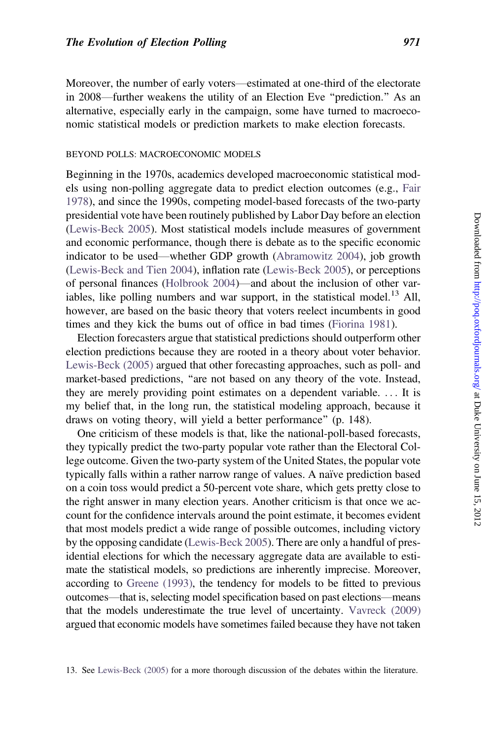Moreover, the number of early voters—estimated at one-third of the electorate in 2008—further weakens the utility of an Election Eve ''prediction.'' As an alternative, especially early in the campaign, some have turned to macroeconomic statistical models or prediction markets to make election forecasts.

#### BEYOND POLLS: MACROECONOMIC MODELS

Beginning in the 1970s, academics developed macroeconomic statistical models using non-polling aggregate data to predict election outcomes (e.g., [Fair](#page-17-0) [1978\)](#page-17-0), and since the 1990s, competing model-based forecasts of the two-party presidential vote have been routinely published by Labor Day before an election ([Lewis-Beck 2005](#page-18-0)). Most statistical models include measures of government and economic performance, though there is debate as to the specific economic indicator to be used—whether GDP growth [\(Abramowitz 2004](#page-16-0)), job growth ([Lewis-Beck and Tien 2004](#page-18-0)), inflation rate ([Lewis-Beck 2005\)](#page-18-0), or perceptions of personal finances [\(Holbrook 2004](#page-17-0))—and about the inclusion of other variables, like polling numbers and war support, in the statistical model.<sup>13</sup> All, however, are based on the basic theory that voters reelect incumbents in good times and they kick the bums out of office in bad times ([Fiorina 1981\)](#page-17-0).

Election forecasters argue that statistical predictions should outperform other election predictions because they are rooted in a theory about voter behavior. [Lewis-Beck \(2005\)](#page-18-0) argued that other forecasting approaches, such as poll- and market-based predictions, "are not based on any theory of the vote. Instead, they are merely providing point estimates on a dependent variable. ... It is my belief that, in the long run, the statistical modeling approach, because it draws on voting theory, will yield a better performance'' (p. 148).

One criticism of these models is that, like the national-poll-based forecasts, they typically predict the two-party popular vote rather than the Electoral College outcome. Given the two-party system of the United States, the popular vote typically falls within a rather narrow range of values. A naïve prediction based on a coin toss would predict a 50-percent vote share, which gets pretty close to the right answer in many election years. Another criticism is that once we account for the confidence intervals around the point estimate, it becomes evident that most models predict a wide range of possible outcomes, including victory by the opposing candidate ([Lewis-Beck 2005\)](#page-18-0). There are only a handful of presidential elections for which the necessary aggregate data are available to estimate the statistical models, so predictions are inherently imprecise. Moreover, according to [Greene \(1993\),](#page-17-0) the tendency for models to be fitted to previous outcomes—that is, selecting model specification based on past elections—means that the models underestimate the true level of uncertainty. [Vavreck \(2009\)](#page-19-0) argued that economic models have sometimes failed because they have not taken

13. See [Lewis-Beck \(2005\)](#page-18-0) for a more thorough discussion of the debates within the literature.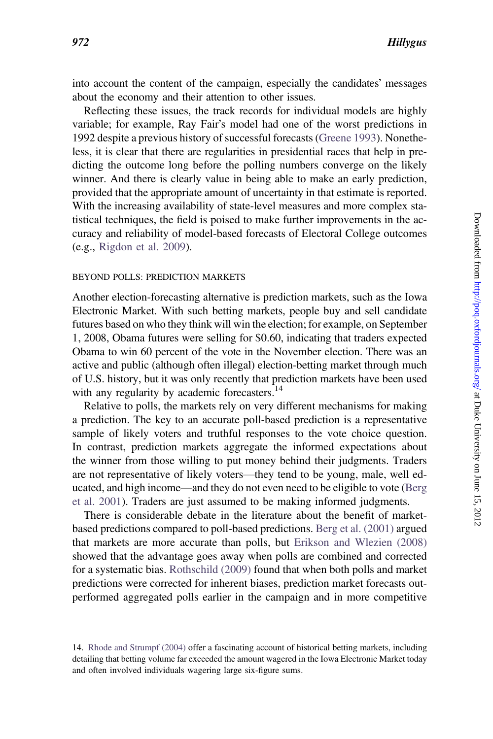into account the content of the campaign, especially the candidates' messages about the economy and their attention to other issues.

Reflecting these issues, the track records for individual models are highly variable; for example, Ray Fairs model had one of the worst predictions in 1992 despite a previous history of successful forecasts [\(Greene 1993\)](#page-17-0). Nonetheless, it is clear that there are regularities in presidential races that help in predicting the outcome long before the polling numbers converge on the likely winner. And there is clearly value in being able to make an early prediction, provided that the appropriate amount of uncertainty in that estimate is reported. With the increasing availability of state-level measures and more complex statistical techniques, the field is poised to make further improvements in the accuracy and reliability of model-based forecasts of Electoral College outcomes (e.g., [Rigdon et al. 2009\)](#page-19-0).

#### BEYOND POLLS: PREDICTION MARKETS

Another election-forecasting alternative is prediction markets, such as the Iowa Electronic Market. With such betting markets, people buy and sell candidate futures based on who they think will win the election; for example, on September 1, 2008, Obama futures were selling for \$0.60, indicating that traders expected Obama to win 60 percent of the vote in the November election. There was an active and public (although often illegal) election-betting market through much of U.S. history, but it was only recently that prediction markets have been used with any regularity by academic forecasters.<sup>14</sup>

Relative to polls, the markets rely on very different mechanisms for making a prediction. The key to an accurate poll-based prediction is a representative sample of likely voters and truthful responses to the vote choice question. In contrast, prediction markets aggregate the informed expectations about the winner from those willing to put money behind their judgments. Traders are not representative of likely voters—they tend to be young, male, well educated, and high income—and they do not even need to be eligible to vote ([Berg](#page-16-0) [et al. 2001\)](#page-16-0). Traders are just assumed to be making informed judgments.

There is considerable debate in the literature about the benefit of marketbased predictions compared to poll-based predictions. [Berg et al. \(2001\)](#page-16-0) argued that markets are more accurate than polls, but [Erikson and Wlezien \(2008\)](#page-17-0) showed that the advantage goes away when polls are combined and corrected for a systematic bias. [Rothschild \(2009\)](#page-19-0) found that when both polls and market predictions were corrected for inherent biases, prediction market forecasts outperformed aggregated polls earlier in the campaign and in more competitive

<sup>14.</sup> [Rhode and Strumpf \(2004\)](#page-18-0) offer a fascinating account of historical betting markets, including detailing that betting volume far exceeded the amount wagered in the Iowa Electronic Market today and often involved individuals wagering large six-figure sums.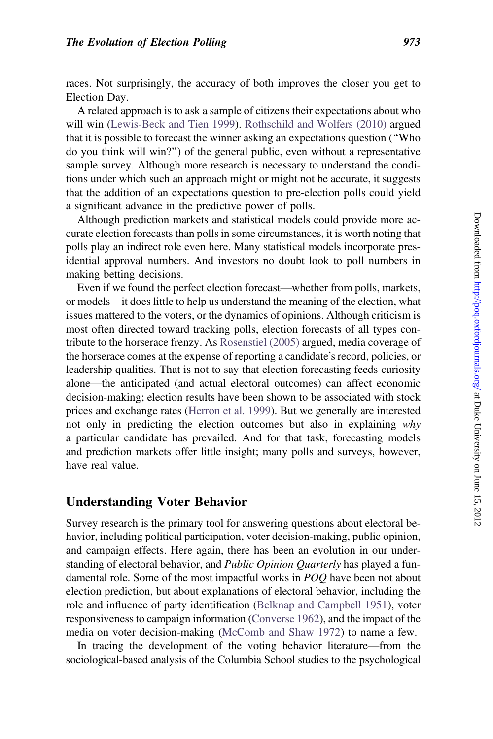races. Not surprisingly, the accuracy of both improves the closer you get to Election Day.

A related approach is to ask a sample of citizens their expectations about who will win ([Lewis-Beck and Tien 1999\)](#page-18-0). [Rothschild and Wolfers \(2010\)](#page-19-0) argued that it is possible to forecast the winner asking an expectations question (''Who do you think will win?'') of the general public, even without a representative sample survey. Although more research is necessary to understand the conditions under which such an approach might or might not be accurate, it suggests that the addition of an expectations question to pre-election polls could yield a significant advance in the predictive power of polls.

Although prediction markets and statistical models could provide more accurate election forecasts than polls in some circumstances, it is worth noting that polls play an indirect role even here. Many statistical models incorporate presidential approval numbers. And investors no doubt look to poll numbers in making betting decisions.

Even if we found the perfect election forecast—whether from polls, markets, or models—it does little to help us understand the meaning of the election, what issues mattered to the voters, or the dynamics of opinions. Although criticism is most often directed toward tracking polls, election forecasts of all types contribute to the horserace frenzy. As [Rosenstiel \(2005\)](#page-19-0) argued, media coverage of the horserace comes at the expense of reporting a candidate's record, policies, or leadership qualities. That is not to say that election forecasting feeds curiosity alone—the anticipated (and actual electoral outcomes) can affect economic decision-making; election results have been shown to be associated with stock prices and exchange rates [\(Herron et al. 1999](#page-17-0)). But we generally are interested not only in predicting the election outcomes but also in explaining why a particular candidate has prevailed. And for that task, forecasting models and prediction markets offer little insight; many polls and surveys, however, have real value.

### Understanding Voter Behavior

Survey research is the primary tool for answering questions about electoral behavior, including political participation, voter decision-making, public opinion, and campaign effects. Here again, there has been an evolution in our understanding of electoral behavior, and *Public Opinion Quarterly* has played a fundamental role. Some of the most impactful works in POQ have been not about election prediction, but about explanations of electoral behavior, including the role and influence of party identification [\(Belknap and Campbell 1951\)](#page-16-0), voter responsiveness to campaign information ([Converse 1962\)](#page-16-0), and the impact of the media on voter decision-making ([McComb and Shaw 1972](#page-18-0)) to name a few.

In tracing the development of the voting behavior literature—from the sociological-based analysis of the Columbia School studies to the psychological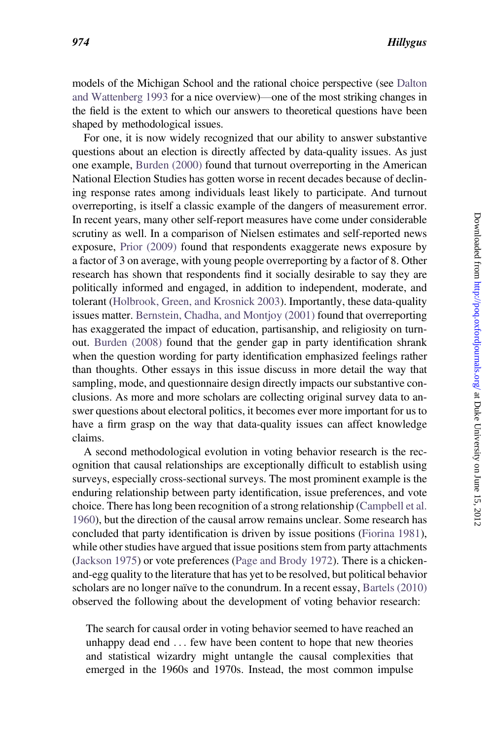models of the Michigan School and the rational choice perspective (see [Dalton](#page-17-0) [and Wattenberg 1993](#page-17-0) for a nice overview)—one of the most striking changes in the field is the extent to which our answers to theoretical questions have been shaped by methodological issues.

For one, it is now widely recognized that our ability to answer substantive questions about an election is directly affected by data-quality issues. As just one example, [Burden \(2000\)](#page-16-0) found that turnout overreporting in the American National Election Studies has gotten worse in recent decades because of declining response rates among individuals least likely to participate. And turnout overreporting, is itself a classic example of the dangers of measurement error. In recent years, many other self-report measures have come under considerable scrutiny as well. In a comparison of Nielsen estimates and self-reported news exposure, [Prior \(2009\)](#page-18-0) found that respondents exaggerate news exposure by a factor of 3 on average, with young people overreporting by a factor of 8. Other research has shown that respondents find it socially desirable to say they are politically informed and engaged, in addition to independent, moderate, and tolerant ([Holbrook, Green, and Krosnick 2003](#page-17-0)). Importantly, these data-quality issues matter. [Bernstein, Chadha, and Montjoy \(2001\)](#page-16-0) found that overreporting has exaggerated the impact of education, partisanship, and religiosity on turnout. [Burden \(2008\)](#page-16-0) found that the gender gap in party identification shrank when the question wording for party identification emphasized feelings rather than thoughts. Other essays in this issue discuss in more detail the way that sampling, mode, and questionnaire design directly impacts our substantive conclusions. As more and more scholars are collecting original survey data to answer questions about electoral politics, it becomes ever more important for us to have a firm grasp on the way that data-quality issues can affect knowledge claims.

A second methodological evolution in voting behavior research is the recognition that causal relationships are exceptionally difficult to establish using surveys, especially cross-sectional surveys. The most prominent example is the enduring relationship between party identification, issue preferences, and vote choice. There has long been recognition of a strong relationship [\(Campbell et al.](#page-16-0) [1960](#page-16-0)), but the direction of the causal arrow remains unclear. Some research has concluded that party identification is driven by issue positions [\(Fiorina 1981\)](#page-17-0), while other studies have argued that issue positions stem from party attachments ([Jackson 1975](#page-18-0)) or vote preferences [\(Page and Brody 1972\)](#page-18-0). There is a chickenand-egg quality to the literature that has yet to be resolved, but political behavior scholars are no longer naïve to the conundrum. In a recent essay, [Bartels \(2010\)](#page-16-0) observed the following about the development of voting behavior research:

The search for causal order in voting behavior seemed to have reached an unhappy dead end ... few have been content to hope that new theories and statistical wizardry might untangle the causal complexities that emerged in the 1960s and 1970s. Instead, the most common impulse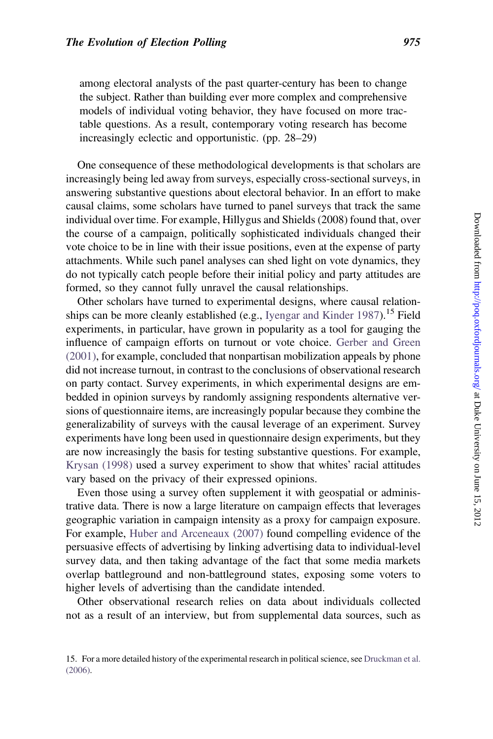among electoral analysts of the past quarter-century has been to change the subject. Rather than building ever more complex and comprehensive models of individual voting behavior, they have focused on more tractable questions. As a result, contemporary voting research has become increasingly eclectic and opportunistic. (pp. 28–29)

One consequence of these methodological developments is that scholars are increasingly being led away from surveys, especially cross-sectional surveys, in answering substantive questions about electoral behavior. In an effort to make causal claims, some scholars have turned to panel surveys that track the same individual over time. For example, Hillygus and Shields (2008) found that, over the course of a campaign, politically sophisticated individuals changed their vote choice to be in line with their issue positions, even at the expense of party attachments. While such panel analyses can shed light on vote dynamics, they do not typically catch people before their initial policy and party attitudes are formed, so they cannot fully unravel the causal relationships.

Other scholars have turned to experimental designs, where causal relation-ships can be more cleanly established (e.g., [Iyengar and Kinder 1987\)](#page-18-0).<sup>15</sup> Field experiments, in particular, have grown in popularity as a tool for gauging the influence of campaign efforts on turnout or vote choice. [Gerber and Green](#page-17-0) [\(2001\)](#page-17-0), for example, concluded that nonpartisan mobilization appeals by phone did not increase turnout, in contrast to the conclusions of observational research on party contact. Survey experiments, in which experimental designs are embedded in opinion surveys by randomly assigning respondents alternative versions of questionnaire items, are increasingly popular because they combine the generalizability of surveys with the causal leverage of an experiment. Survey experiments have long been used in questionnaire design experiments, but they are now increasingly the basis for testing substantive questions. For example, [Krysan \(1998\)](#page-18-0) used a survey experiment to show that whites' racial attitudes vary based on the privacy of their expressed opinions.

Even those using a survey often supplement it with geospatial or administrative data. There is now a large literature on campaign effects that leverages geographic variation in campaign intensity as a proxy for campaign exposure. For example, [Huber and Arceneaux \(2007\)](#page-17-0) found compelling evidence of the persuasive effects of advertising by linking advertising data to individual-level survey data, and then taking advantage of the fact that some media markets overlap battleground and non-battleground states, exposing some voters to higher levels of advertising than the candidate intended.

Other observational research relies on data about individuals collected not as a result of an interview, but from supplemental data sources, such as

<sup>15.</sup> For a more detailed history of the experimental research in political science, see [Druckman et al.](#page-17-0) [\(2006\).](#page-17-0)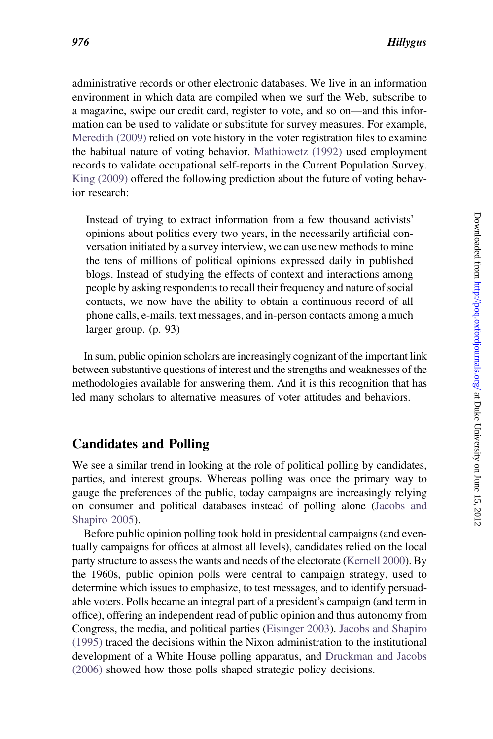administrative records or other electronic databases. We live in an information environment in which data are compiled when we surf the Web, subscribe to a magazine, swipe our credit card, register to vote, and so on—and this information can be used to validate or substitute for survey measures. For example, [Meredith \(2009\)](#page-18-0) relied on vote history in the voter registration files to examine the habitual nature of voting behavior. [Mathiowetz \(1992\)](#page-18-0) used employment records to validate occupational self-reports in the Current Population Survey. [King \(2009\)](#page-18-0) offered the following prediction about the future of voting behavior research:

Instead of trying to extract information from a few thousand activists opinions about politics every two years, in the necessarily artificial conversation initiated by a survey interview, we can use new methods to mine the tens of millions of political opinions expressed daily in published blogs. Instead of studying the effects of context and interactions among people by asking respondents to recall their frequency and nature of social contacts, we now have the ability to obtain a continuous record of all phone calls, e-mails, text messages, and in-person contacts among a much larger group. (p. 93)

In sum, public opinion scholars are increasingly cognizant of the important link between substantive questions of interest and the strengths and weaknesses of the methodologies available for answering them. And it is this recognition that has led many scholars to alternative measures of voter attitudes and behaviors.

## Candidates and Polling

We see a similar trend in looking at the role of political polling by candidates, parties, and interest groups. Whereas polling was once the primary way to gauge the preferences of the public, today campaigns are increasingly relying on consumer and political databases instead of polling alone ([Jacobs and](#page-18-0) [Shapiro 2005](#page-18-0)).

Before public opinion polling took hold in presidential campaigns (and eventually campaigns for offices at almost all levels), candidates relied on the local party structure to assess the wants and needs of the electorate ([Kernell 2000](#page-18-0)). By the 1960s, public opinion polls were central to campaign strategy, used to determine which issues to emphasize, to test messages, and to identify persuadable voters. Polls became an integral part of a president's campaign (and term in office), offering an independent read of public opinion and thus autonomy from Congress, the media, and political parties [\(Eisinger 2003\)](#page-17-0). [Jacobs and Shapiro](#page-18-0) [\(1995\)](#page-18-0) traced the decisions within the Nixon administration to the institutional development of a White House polling apparatus, and [Druckman and Jacobs](#page-17-0) [\(2006\)](#page-17-0) showed how those polls shaped strategic policy decisions.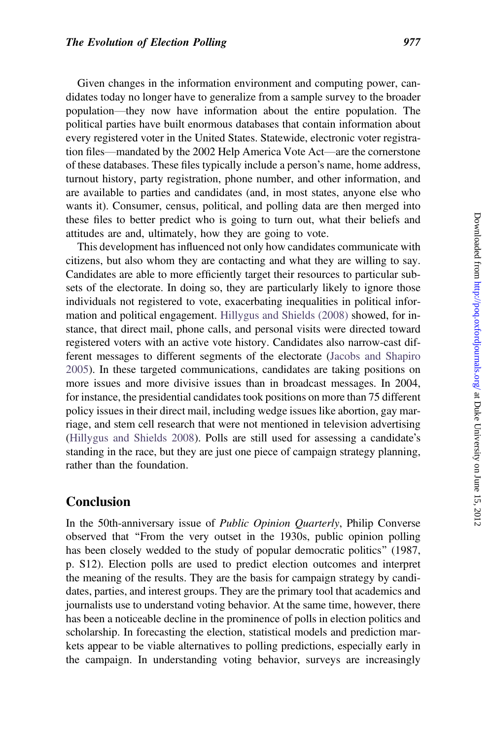Given changes in the information environment and computing power, candidates today no longer have to generalize from a sample survey to the broader population—they now have information about the entire population. The political parties have built enormous databases that contain information about every registered voter in the United States. Statewide, electronic voter registration files—mandated by the 2002 Help America Vote Act—are the cornerstone of these databases. These files typically include a person's name, home address, turnout history, party registration, phone number, and other information, and are available to parties and candidates (and, in most states, anyone else who wants it). Consumer, census, political, and polling data are then merged into these files to better predict who is going to turn out, what their beliefs and attitudes are and, ultimately, how they are going to vote.

This development has influenced not only how candidates communicate with citizens, but also whom they are contacting and what they are willing to say. Candidates are able to more efficiently target their resources to particular subsets of the electorate. In doing so, they are particularly likely to ignore those individuals not registered to vote, exacerbating inequalities in political information and political engagement. [Hillygus and Shields \(2008\)](#page-17-0) showed, for instance, that direct mail, phone calls, and personal visits were directed toward registered voters with an active vote history. Candidates also narrow-cast different messages to different segments of the electorate [\(Jacobs and Shapiro](#page-18-0) [2005\)](#page-18-0). In these targeted communications, candidates are taking positions on more issues and more divisive issues than in broadcast messages. In 2004, for instance, the presidential candidates took positions on more than 75 different policy issues in their direct mail, including wedge issues like abortion, gay marriage, and stem cell research that were not mentioned in television advertising ([Hillygus and Shields 2008](#page-17-0)). Polls are still used for assessing a candidate's standing in the race, but they are just one piece of campaign strategy planning, rather than the foundation.

### Conclusion

In the 50th-anniversary issue of Public Opinion Quarterly, Philip Converse observed that ''From the very outset in the 1930s, public opinion polling has been closely wedded to the study of popular democratic politics'' (1987, p. S12). Election polls are used to predict election outcomes and interpret the meaning of the results. They are the basis for campaign strategy by candidates, parties, and interest groups. They are the primary tool that academics and journalists use to understand voting behavior. At the same time, however, there has been a noticeable decline in the prominence of polls in election politics and scholarship. In forecasting the election, statistical models and prediction markets appear to be viable alternatives to polling predictions, especially early in the campaign. In understanding voting behavior, surveys are increasingly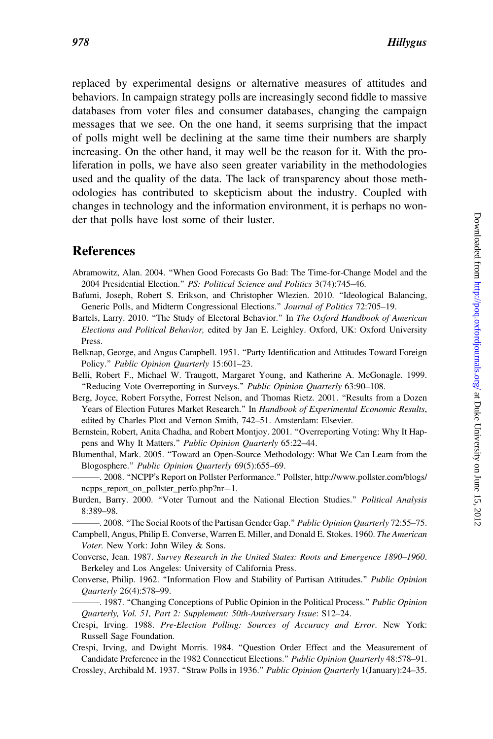<span id="page-16-0"></span>replaced by experimental designs or alternative measures of attitudes and behaviors. In campaign strategy polls are increasingly second fiddle to massive databases from voter files and consumer databases, changing the campaign messages that we see. On the one hand, it seems surprising that the impact of polls might well be declining at the same time their numbers are sharply increasing. On the other hand, it may well be the reason for it. With the proliferation in polls, we have also seen greater variability in the methodologies used and the quality of the data. The lack of transparency about those methodologies has contributed to skepticism about the industry. Coupled with changes in technology and the information environment, it is perhaps no wonder that polls have lost some of their luster.

## References

- Abramowitz, Alan. 2004. ''When Good Forecasts Go Bad: The Time-for-Change Model and the 2004 Presidential Election.'' PS: Political Science and Politics 3(74):745–46.
- Bafumi, Joseph, Robert S. Erikson, and Christopher Wlezien. 2010. ''Ideological Balancing, Generic Polls, and Midterm Congressional Elections.'' Journal of Politics 72:705–19.
- Bartels, Larry. 2010. "The Study of Electoral Behavior." In The Oxford Handbook of American Elections and Political Behavior, edited by Jan E. Leighley. Oxford, UK: Oxford University Press.
- Belknap, George, and Angus Campbell. 1951. ''Party Identification and Attitudes Toward Foreign Policy.'' Public Opinion Quarterly 15:601–23.
- Belli, Robert F., Michael W. Traugott, Margaret Young, and Katherine A. McGonagle. 1999. "Reducing Vote Overreporting in Surveys." Public Opinion Quarterly 63:90-108.
- Berg, Joyce, Robert Forsythe, Forrest Nelson, and Thomas Rietz. 2001. ''Results from a Dozen Years of Election Futures Market Research." In Handbook of Experimental Economic Results, edited by Charles Plott and Vernon Smith, 742–51. Amsterdam: Elsevier.
- Bernstein, Robert, Anita Chadha, and Robert Montjoy. 2001. ''Overreporting Voting: Why It Happens and Why It Matters.'' Public Opinion Quarterly 65:22–44.
- Blumenthal, Mark. 2005. ''Toward an Open-Source Methodology: What We Can Learn from the Blogosphere.'' Public Opinion Quarterly 69(5):655–69.
- -. 2008. "NCPP's Report on Pollster Performance." Pollster, http://www.pollster.com/blogs/  $n$ cpps\_report\_on\_pollster\_perfo.php?nr=1.
- Burden, Barry. 2000. "Voter Turnout and the National Election Studies." Political Analysis 8:389–98.

-. 2008. "The Social Roots of the Partisan Gender Gap." Public Opinion Quarterly 72:55-75. Campbell, Angus, Philip E. Converse, Warren E. Miller, and Donald E. Stokes. 1960. The American

Voter. New York: John Wiley & Sons.

Converse, Jean. 1987. Survey Research in the United States: Roots and Emergence 1890–1960. Berkeley and Los Angeles: University of California Press.

Converse, Philip. 1962. ''Information Flow and Stability of Partisan Attitudes.'' Public Opinion Quarterly 26(4):578–99.

—. 1987. "Changing Conceptions of Public Opinion in the Political Process." Public Opinion Quarterly, Vol. 51, Part 2: Supplement: 50th-Anniversary Issue: S12–24.

Crespi, Irving. 1988. Pre-Election Polling: Sources of Accuracy and Error. New York: Russell Sage Foundation.

Crespi, Irving, and Dwight Morris. 1984. ''Question Order Effect and the Measurement of Candidate Preference in the 1982 Connecticut Elections.'' Public Opinion Quarterly 48:578–91. Crossley, Archibald M. 1937. ''Straw Polls in 1936.'' Public Opinion Quarterly 1(January):24–35.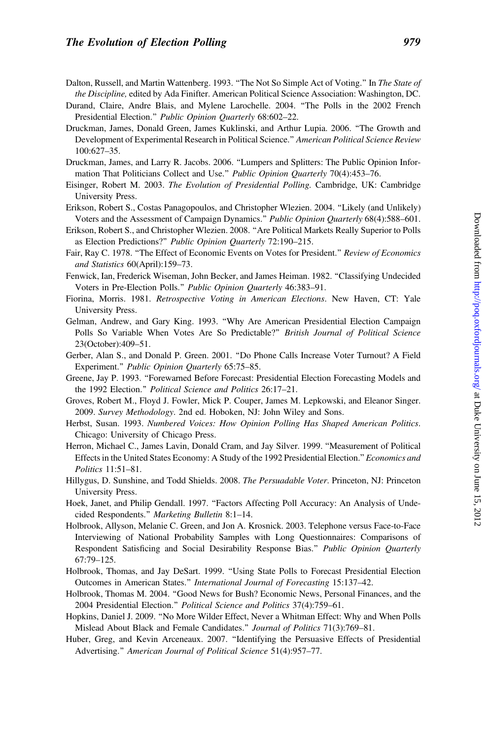- <span id="page-17-0"></span>Dalton, Russell, and Martin Wattenberg. 1993. "The Not So Simple Act of Voting." In The State of the Discipline, edited by Ada Finifter. American Political Science Association: Washington, DC.
- Durand, Claire, Andre Blais, and Mylene Larochelle. 2004. ''The Polls in the 2002 French Presidential Election.'' Public Opinion Quarterly 68:602–22.
- Druckman, James, Donald Green, James Kuklinski, and Arthur Lupia. 2006. ''The Growth and Development of Experimental Research in Political Science.'' American Political Science Review 100:627–35.
- Druckman, James, and Larry R. Jacobs. 2006. ''Lumpers and Splitters: The Public Opinion Information That Politicians Collect and Use." Public Opinion Quarterly 70(4):453-76.
- Eisinger, Robert M. 2003. The Evolution of Presidential Polling. Cambridge, UK: Cambridge University Press.
- Erikson, Robert S., Costas Panagopoulos, and Christopher Wlezien. 2004. ''Likely (and Unlikely) Voters and the Assessment of Campaign Dynamics.'' Public Opinion Quarterly 68(4):588–601.
- Erikson, Robert S., and Christopher Wlezien. 2008. ''Are Political Markets Really Superior to Polls as Election Predictions?'' Public Opinion Quarterly 72:190–215.
- Fair, Ray C. 1978. "The Effect of Economic Events on Votes for President." Review of Economics and Statistics 60(April):159–73.
- Fenwick, Ian, Frederick Wiseman, John Becker, and James Heiman. 1982. ''Classifying Undecided Voters in Pre-Election Polls.'' Public Opinion Quarterly 46:383–91.
- Fiorina, Morris. 1981. Retrospective Voting in American Elections. New Haven, CT: Yale University Press.
- Gelman, Andrew, and Gary King. 1993. ''Why Are American Presidential Election Campaign Polls So Variable When Votes Are So Predictable?" British Journal of Political Science 23(October):409–51.
- Gerber, Alan S., and Donald P. Green. 2001. ''Do Phone Calls Increase Voter Turnout? A Field Experiment.'' Public Opinion Quarterly 65:75–85.
- Greene, Jay P. 1993. ''Forewarned Before Forecast: Presidential Election Forecasting Models and the 1992 Election.'' Political Science and Politics 26:17–21.
- Groves, Robert M., Floyd J. Fowler, Mick P. Couper, James M. Lepkowski, and Eleanor Singer. 2009. Survey Methodology. 2nd ed. Hoboken, NJ: John Wiley and Sons.
- Herbst, Susan. 1993. Numbered Voices: How Opinion Polling Has Shaped American Politics. Chicago: University of Chicago Press.
- Herron, Michael C., James Lavin, Donald Cram, and Jay Silver. 1999. "Measurement of Political Effects in the United States Economy: A Study of the 1992 Presidential Election." Economics and Politics 11:51–81.
- Hillygus, D. Sunshine, and Todd Shields. 2008. The Persuadable Voter. Princeton, NJ: Princeton University Press.
- Hoek, Janet, and Philip Gendall. 1997. "Factors Affecting Poll Accuracy: An Analysis of Undecided Respondents.'' Marketing Bulletin 8:1–14.
- Holbrook, Allyson, Melanie C. Green, and Jon A. Krosnick. 2003. Telephone versus Face-to-Face Interviewing of National Probability Samples with Long Questionnaires: Comparisons of Respondent Satisficing and Social Desirability Response Bias.'' Public Opinion Quarterly 67:79–125.
- Holbrook, Thomas, and Jay DeSart. 1999. ''Using State Polls to Forecast Presidential Election Outcomes in American States.'' International Journal of Forecasting 15:137–42.
- Holbrook, Thomas M. 2004. ''Good News for Bush? Economic News, Personal Finances, and the 2004 Presidential Election.'' Political Science and Politics 37(4):759–61.
- Hopkins, Daniel J. 2009. ''No More Wilder Effect, Never a Whitman Effect: Why and When Polls Mislead About Black and Female Candidates.'' Journal of Politics 71(3):769–81.
- Huber, Greg, and Kevin Arceneaux. 2007. ''Identifying the Persuasive Effects of Presidential Advertising.'' American Journal of Political Science 51(4):957–77.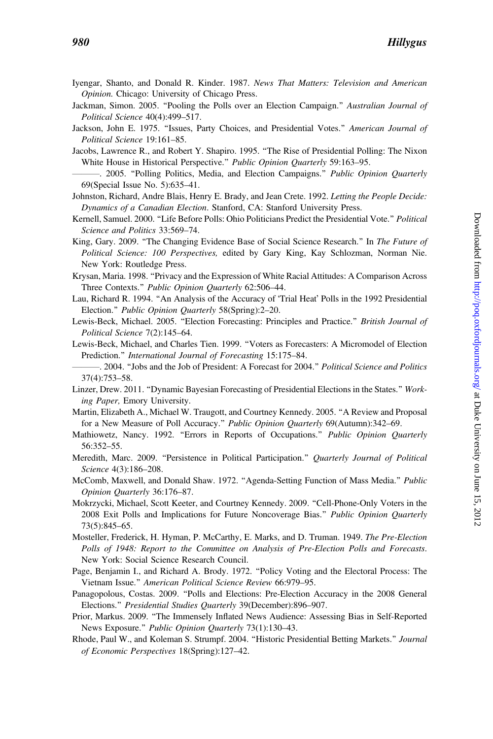#### <span id="page-18-0"></span>980 Hillygus

- Iyengar, Shanto, and Donald R. Kinder. 1987. News That Matters: Television and American Opinion. Chicago: University of Chicago Press.
- Jackman, Simon. 2005. "Pooling the Polls over an Election Campaign." Australian Journal of Political Science 40(4):499–517.
- Jackson, John E. 1975. "Issues, Party Choices, and Presidential Votes." American Journal of Political Science 19:161–85.
- Jacobs, Lawrence R., and Robert Y. Shapiro. 1995. ''The Rise of Presidential Polling: The Nixon White House in Historical Perspective." Public Opinion Quarterly 59:163-95.
- -. 2005. "Polling Politics, Media, and Election Campaigns." Public Opinion Quarterly 69(Special Issue No. 5):635–41.
- Johnston, Richard, Andre Blais, Henry E. Brady, and Jean Crete. 1992. Letting the People Decide: Dynamics of a Canadian Election. Stanford, CA: Stanford University Press.
- Kernell, Samuel. 2000. "Life Before Polls: Ohio Politicians Predict the Presidential Vote." Political Science and Politics 33:569–74.
- King, Gary. 2009. "The Changing Evidence Base of Social Science Research." In The Future of Political Science: 100 Perspectives, edited by Gary King, Kay Schlozman, Norman Nie. New York: Routledge Press.
- Krysan, Maria. 1998. ''Privacy and the Expression of White Racial Attitudes: A Comparison Across Three Contexts.'' Public Opinion Quarterly 62:506–44.
- Lau, Richard R. 1994. "An Analysis of the Accuracy of 'Trial Heat' Polls in the 1992 Presidential Election.'' Public Opinion Quarterly 58(Spring):2–20.
- Lewis-Beck, Michael. 2005. "Election Forecasting: Principles and Practice." British Journal of Political Science 7(2):145–64.
- Lewis-Beck, Michael, and Charles Tien. 1999. ''Voters as Forecasters: A Micromodel of Election Prediction.'' International Journal of Forecasting 15:175–84.

———. 2004. ''Jobs and the Job of President: A Forecast for 2004.'' Political Science and Politics 37(4):753–58.

- Linzer, Drew. 2011. ''Dynamic Bayesian Forecasting of Presidential Elections in the States.'' Working Paper, Emory University.
- Martin, Elizabeth A., Michael W. Traugott, and Courtney Kennedy. 2005. ''A Review and Proposal for a New Measure of Poll Accuracy.'' Public Opinion Quarterly 69(Autumn):342–69.
- Mathiowetz, Nancy. 1992. "Errors in Reports of Occupations." Public Opinion Quarterly 56:352–55.
- Meredith, Marc. 2009. "Persistence in Political Participation." Quarterly Journal of Political Science 4(3):186–208.
- McComb, Maxwell, and Donald Shaw. 1972. "Agenda-Setting Function of Mass Media." Public Opinion Quarterly 36:176–87.
- Mokrzycki, Michael, Scott Keeter, and Courtney Kennedy. 2009. ''Cell-Phone-Only Voters in the 2008 Exit Polls and Implications for Future Noncoverage Bias.'' Public Opinion Quarterly 73(5):845–65.
- Mosteller, Frederick, H. Hyman, P. McCarthy, E. Marks, and D. Truman. 1949. The Pre-Election Polls of 1948: Report to the Committee on Analysis of Pre-Election Polls and Forecasts. New York: Social Science Research Council.
- Page, Benjamin I., and Richard A. Brody. 1972. ''Policy Voting and the Electoral Process: The Vietnam Issue.'' American Political Science Review 66:979–95.
- Panagopolous, Costas. 2009. ''Polls and Elections: Pre-Election Accuracy in the 2008 General Elections.'' Presidential Studies Quarterly 39(December):896–907.
- Prior, Markus. 2009. ''The Immensely Inflated News Audience: Assessing Bias in Self-Reported News Exposure.'' Public Opinion Quarterly 73(1):130–43.
- Rhode, Paul W., and Koleman S. Strumpf. 2004. "Historic Presidential Betting Markets." Journal of Economic Perspectives 18(Spring):127–42.